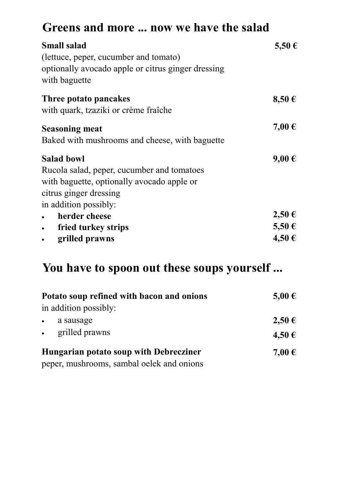## **Greens and more ... now we have the salad**

| <b>Small salad</b><br>(lettuce, peper, cucumber and tomato)<br>optionally avocado apple or citrus ginger dressing<br>with baguette                               | 5,50 €                   |
|------------------------------------------------------------------------------------------------------------------------------------------------------------------|--------------------------|
| Three potato pancakes<br>with quark, tzaziki or crème fraîche                                                                                                    | 8,50€                    |
| <b>Seasoning meat</b><br>Baked with mushrooms and cheese, with baguette                                                                                          | 7,00 €                   |
| <b>Salad bowl</b><br>Rucola salad, peper, cucumber and tomatoes<br>with baguette, optionally avocado apple or<br>citrus ginger dressing<br>in addition possibly: | 9,00€                    |
| herder cheese<br>fried turkey strips<br>$\bullet$<br>grilled prawns<br>$\bullet$                                                                                 | 2,50€<br>5,50 €<br>4,50€ |

#### **You have to spoon out these soups yourself ...**

| Potato soup refined with bacon and onions | 5,00 € |
|-------------------------------------------|--------|
| in addition possibly:                     |        |
| a sausage                                 | 2,50€  |
| grilled prawns                            | 4,50 € |
| Hungarian potato soup with Debrecziner    | 7,00 € |
| peper, mushrooms, sambal oelek and onions |        |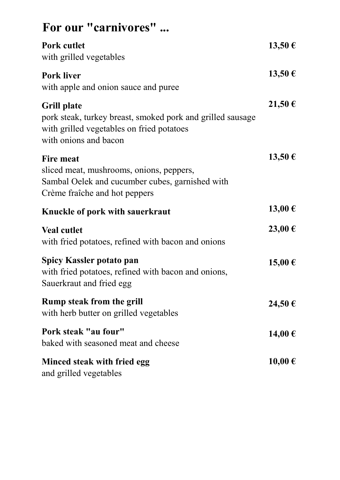| For our "carnivores"                                                                                                                                   |        |
|--------------------------------------------------------------------------------------------------------------------------------------------------------|--------|
| Pork cutlet<br>with grilled vegetables                                                                                                                 | 13,50€ |
| <b>Pork liver</b><br>with apple and onion sauce and puree                                                                                              | 13,50€ |
| <b>Grill plate</b><br>pork steak, turkey breast, smoked pork and grilled sausage<br>with grilled vegetables on fried potatoes<br>with onions and bacon | 21,50€ |
| <b>Fire meat</b><br>sliced meat, mushrooms, onions, peppers,<br>Sambal Oelek and cucumber cubes, garnished with<br>Crème fraîche and hot peppers       | 13,50€ |
| Knuckle of pork with sauerkraut                                                                                                                        | 13,00€ |
| <b>Veal cutlet</b><br>with fried potatoes, refined with bacon and onions                                                                               | 23,00€ |
| <b>Spicy Kassler potato pan</b><br>with fried potatoes, refined with bacon and onions,<br>Sauerkraut and fried egg                                     | 15,00€ |
| <b>Rump steak from the grill</b><br>with herb butter on grilled vegetables                                                                             | 24,50€ |
| Pork steak "au four"<br>baked with seasoned meat and cheese                                                                                            | 14,00€ |
| Minced steak with fried egg<br>and grilled vegetables                                                                                                  | 10,00€ |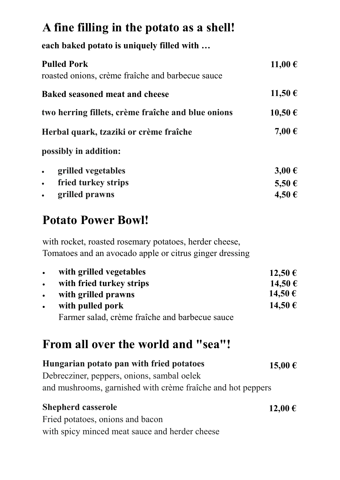# **A fine filling in the potato as a shell!**

**each baked potato is uniquely filled with …**

| <b>Pulled Pork</b><br>roasted onions, crème fraîche and barbecue sauce | 11,00€     |  |
|------------------------------------------------------------------------|------------|--|
| <b>Baked seasoned meat and cheese</b>                                  | 11,50€     |  |
| two herring fillets, crème fraîche and blue onions                     | 10,50€     |  |
| Herbal quark, tzaziki or crème fraîche                                 | 7,00 €     |  |
| possibly in addition:                                                  |            |  |
| grilled vegetables<br>$\bullet$                                        | $3,00 \in$ |  |
| fried turkey strips<br>$\bullet$                                       | 5,50 €     |  |
| grilled prawns<br>$\bullet$                                            | 4,50€      |  |

### **Potato Power Bowl!**

with rocket, roasted rosemary potatoes, herder cheese, Tomatoes and an avocado apple or citrus ginger dressing

| $\bullet$ | with grilled vegetables                        | 12,50 € |
|-----------|------------------------------------------------|---------|
| $\bullet$ | with fried turkey strips                       | 14,50 € |
| $\bullet$ | with grilled prawns                            | 14,50 € |
| $\bullet$ | with pulled pork                               | 14,50€  |
|           | Farmer salad, crème fraîche and barbecue sauce |         |

### **From all over the world and "sea"!**

| Hungarian potato pan with fried potatoes                    | 15,00€  |
|-------------------------------------------------------------|---------|
| Debrecziner, peppers, onions, sambal oelek                  |         |
| and mushrooms, garnished with crème fraîche and hot peppers |         |
| <b>Shepherd casserole</b>                                   | 12,00 € |
| Fried potatoes, onions and bacon                            |         |

with spicy minced meat sauce and herder cheese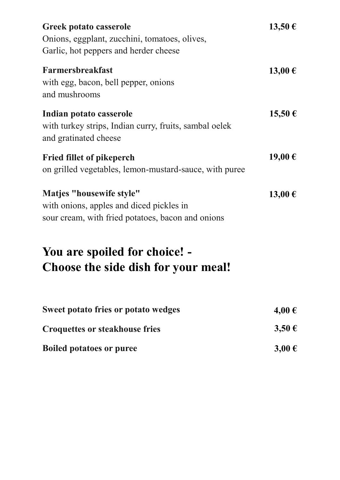| <b>Greek potato casserole</b><br>Onions, eggplant, zucchini, tomatoes, olives,<br>Garlic, hot peppers and herder cheese   | 13,50€      |
|---------------------------------------------------------------------------------------------------------------------------|-------------|
| Farmersbreakfast<br>with egg, bacon, bell pepper, onions<br>and mushrooms                                                 | 13,00€      |
| Indian potato casserole<br>with turkey strips, Indian curry, fruits, sambal oelek<br>and gratinated cheese                | $15,50 \in$ |
| <b>Fried fillet of pikeperch</b><br>on grilled vegetables, lemon-mustard-sauce, with puree                                | 19,00€      |
| Matjes "housewife style"<br>with onions, apples and diced pickles in<br>sour cream, with fried potatoes, bacon and onions | 13,00€      |
| You are spoiled for choice! -<br>Choose the side dish for your meal!                                                      |             |
| <b>Sweet potato fries or potato wedges</b>                                                                                | 4,00 €      |
| <b>Croquettes or steakhouse fries</b>                                                                                     | $3,50 \in$  |

**Boiled potatoes or puree 3,00 €**